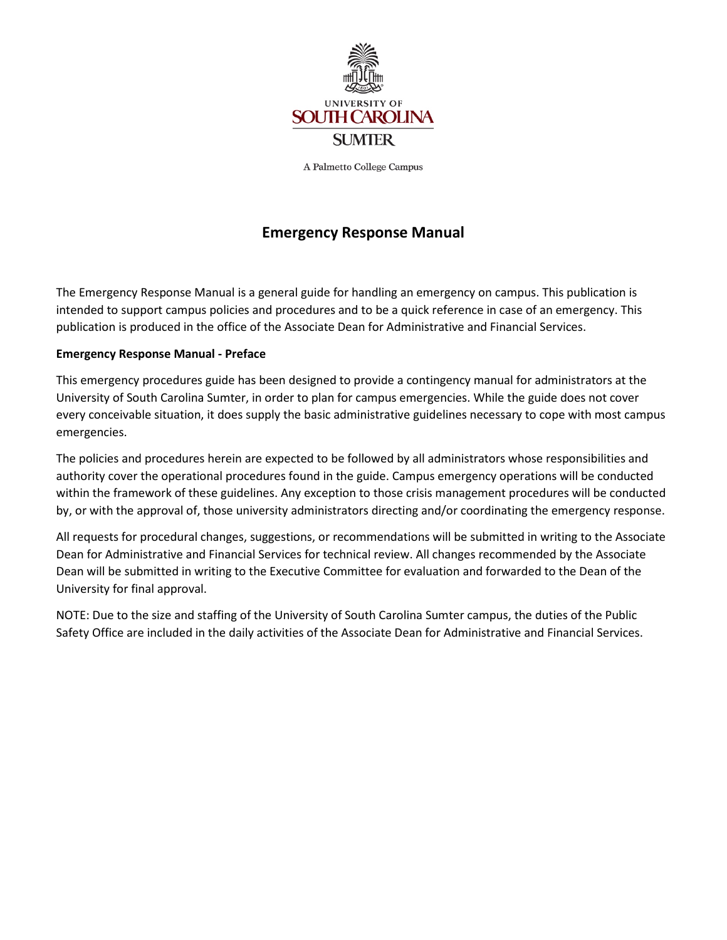

A Palmetto College Campus

# **Emergency Response Manual**

The Emergency Response Manual is a general guide for handling an emergency on campus. This publication is intended to support campus policies and procedures and to be a quick reference in case of an emergency. This publication is produced in the office of the Associate Dean for Administrative and Financial Services.

#### **Emergency Response Manual - Preface**

This emergency procedures guide has been designed to provide a contingency manual for administrators at the University of South Carolina Sumter, in order to plan for campus emergencies. While the guide does not cover every conceivable situation, it does supply the basic administrative guidelines necessary to cope with most campus emergencies.

The policies and procedures herein are expected to be followed by all administrators whose responsibilities and authority cover the operational procedures found in the guide. Campus emergency operations will be conducted within the framework of these guidelines. Any exception to those crisis management procedures will be conducted by, or with the approval of, those university administrators directing and/or coordinating the emergency response.

All requests for procedural changes, suggestions, or recommendations will be submitted in writing to the Associate Dean for Administrative and Financial Services for technical review. All changes recommended by the Associate Dean will be submitted in writing to the Executive Committee for evaluation and forwarded to the Dean of the University for final approval.

NOTE: Due to the size and staffing of the University of South Carolina Sumter campus, the duties of the Public Safety Office are included in the daily activities of the Associate Dean for Administrative and Financial Services.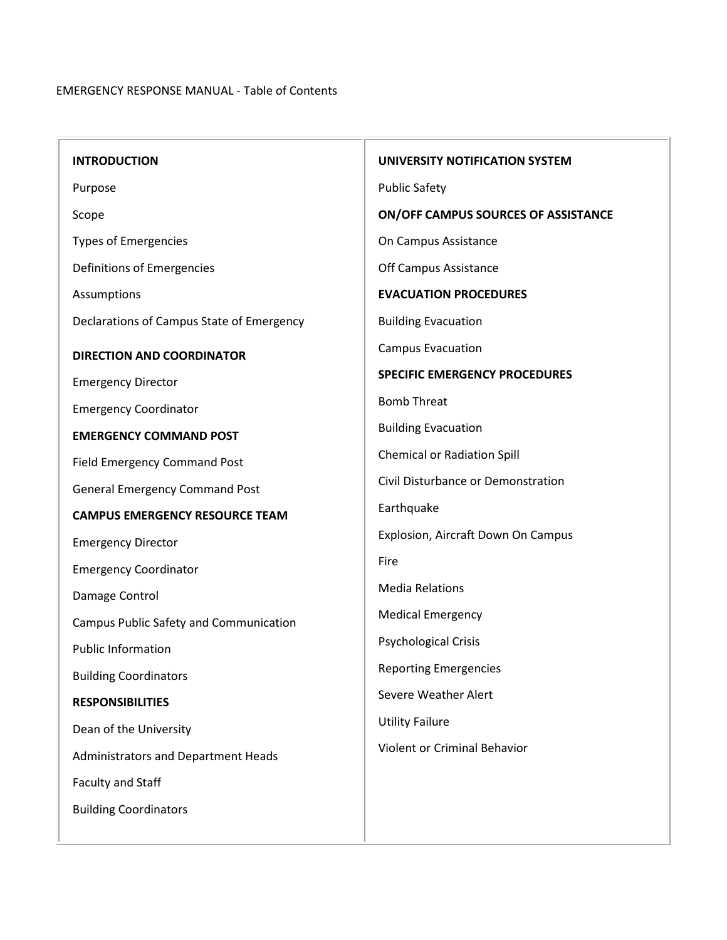| <b>INTRODUCTION</b>                           | UNIVERSITY NOTIFICATION SYSTEM       |  |
|-----------------------------------------------|--------------------------------------|--|
| Purpose                                       | <b>Public Safety</b>                 |  |
| Scope                                         | ON/OFF CAMPUS SOURCES OF ASSISTANCE  |  |
| <b>Types of Emergencies</b>                   | On Campus Assistance                 |  |
| Definitions of Emergencies                    | Off Campus Assistance                |  |
| Assumptions                                   | <b>EVACUATION PROCEDURES</b>         |  |
| Declarations of Campus State of Emergency     | <b>Building Evacuation</b>           |  |
| <b>DIRECTION AND COORDINATOR</b>              | <b>Campus Evacuation</b>             |  |
| <b>Emergency Director</b>                     | <b>SPECIFIC EMERGENCY PROCEDURES</b> |  |
| <b>Emergency Coordinator</b>                  | <b>Bomb Threat</b>                   |  |
| <b>EMERGENCY COMMAND POST</b>                 | <b>Building Evacuation</b>           |  |
| <b>Field Emergency Command Post</b>           | <b>Chemical or Radiation Spill</b>   |  |
| <b>General Emergency Command Post</b>         | Civil Disturbance or Demonstration   |  |
| <b>CAMPUS EMERGENCY RESOURCE TEAM</b>         | Earthquake                           |  |
| <b>Emergency Director</b>                     | Explosion, Aircraft Down On Campus   |  |
| <b>Emergency Coordinator</b>                  | Fire                                 |  |
| Damage Control                                | <b>Media Relations</b>               |  |
| <b>Campus Public Safety and Communication</b> | <b>Medical Emergency</b>             |  |
| <b>Public Information</b>                     | <b>Psychological Crisis</b>          |  |
| <b>Building Coordinators</b>                  | <b>Reporting Emergencies</b>         |  |
| <b>RESPONSIBILITIES</b>                       | Severe Weather Alert                 |  |
| Dean of the University                        | <b>Utility Failure</b>               |  |
| Administrators and Department Heads           | <b>Violent or Criminal Behavior</b>  |  |
| Faculty and Staff                             |                                      |  |
| <b>Building Coordinators</b>                  |                                      |  |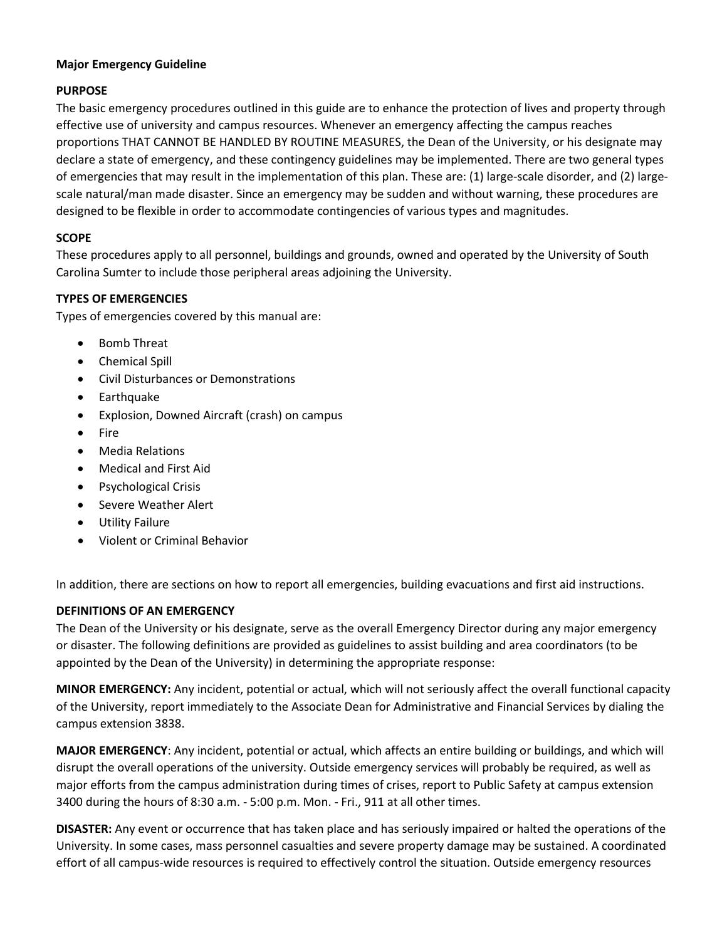## **Major Emergency Guideline**

# **PURPOSE**

The basic emergency procedures outlined in this guide are to enhance the protection of lives and property through effective use of university and campus resources. Whenever an emergency affecting the campus reaches proportions THAT CANNOT BE HANDLED BY ROUTINE MEASURES, the Dean of the University, or his designate may declare a state of emergency, and these contingency guidelines may be implemented. There are two general types of emergencies that may result in the implementation of this plan. These are: (1) large-scale disorder, and (2) largescale natural/man made disaster. Since an emergency may be sudden and without warning, these procedures are designed to be flexible in order to accommodate contingencies of various types and magnitudes.

# **SCOPE**

These procedures apply to all personnel, buildings and grounds, owned and operated by the University of South Carolina Sumter to include those peripheral areas adjoining the University.

#### **TYPES OF EMERGENCIES**

Types of emergencies covered by this manual are:

- Bomb Threat
- Chemical Spill
- Civil Disturbances or Demonstrations
- Earthquake
- Explosion, Downed Aircraft (crash) on campus
- Fire
- Media Relations
- Medical and First Aid
- Psychological Crisis
- [Severe Weather Alert](http://www.uscsumter.edu/emergency.shtml#weather)
- Utility Failure
- Violent or Criminal Behavior

In addition, there are sections on how to report all emergencies, building evacuations and first aid instructions.

#### **DEFINITIONS OF AN EMERGENCY**

The Dean of the University or his designate, serve as the overall Emergency Director during any major emergency or disaster. The following definitions are provided as guidelines to assist building and area coordinators (to be appointed by the Dean of the University) in determining the appropriate response:

**MINOR EMERGENCY:** Any incident, potential or actual, which will not seriously affect the overall functional capacity of the University, report immediately to the Associate Dean for Administrative and Financial Services by dialing the campus extension 3838.

**MAJOR EMERGENCY**: Any incident, potential or actual, which affects an entire building or buildings, and which will disrupt the overall operations of the university. Outside emergency services will probably be required, as well as major efforts from the campus administration during times of crises, report to Public Safety at campus extension 3400 during the hours of 8:30 a.m. - 5:00 p.m. Mon. - Fri., 911 at all other times.

**DISASTER:** Any event or occurrence that has taken place and has seriously impaired or halted the operations of the University. In some cases, mass personnel casualties and severe property damage may be sustained. A coordinated effort of all campus-wide resources is required to effectively control the situation. Outside emergency resources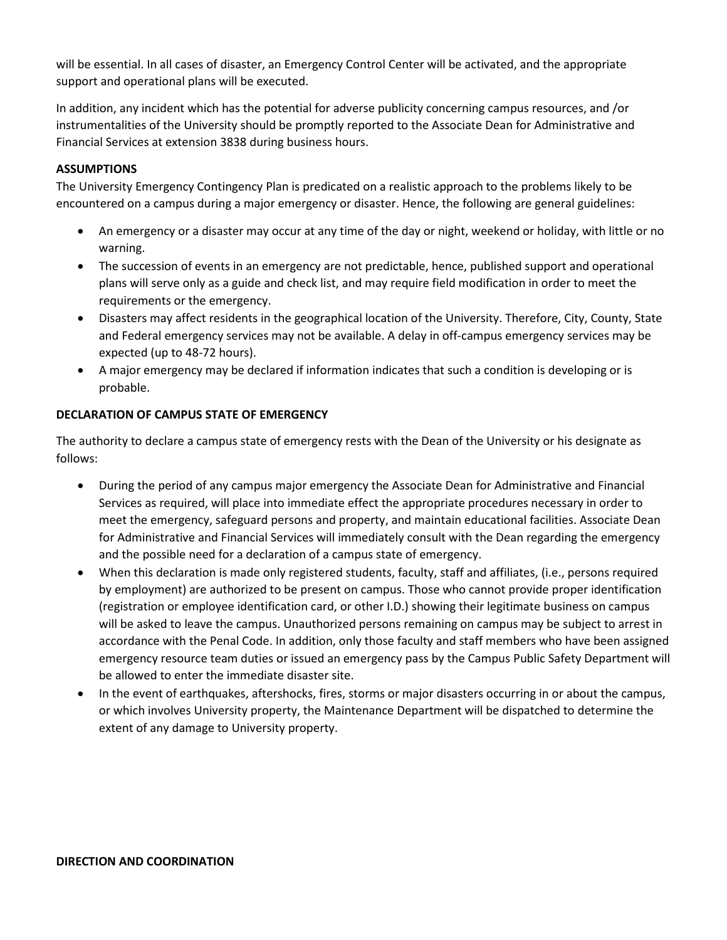will be essential. In all cases of disaster, an Emergency Control Center will be activated, and the appropriate support and operational plans will be executed.

In addition, any incident which has the potential for adverse publicity concerning campus resources, and /or instrumentalities of the University should be promptly reported to the Associate Dean for Administrative and Financial Services at extension 3838 during business hours.

# **ASSUMPTIONS**

The University Emergency Contingency Plan is predicated on a realistic approach to the problems likely to be encountered on a campus during a major emergency or disaster. Hence, the following are general guidelines:

- An emergency or a disaster may occur at any time of the day or night, weekend or holiday, with little or no warning.
- The succession of events in an emergency are not predictable, hence, published support and operational plans will serve only as a guide and check list, and may require field modification in order to meet the requirements or the emergency.
- Disasters may affect residents in the geographical location of the University. Therefore, City, County, State and Federal emergency services may not be available. A delay in off-campus emergency services may be expected (up to 48-72 hours).
- A major emergency may be declared if information indicates that such a condition is developing or is probable.

## **DECLARATION OF CAMPUS STATE OF EMERGENCY**

The authority to declare a campus state of emergency rests with the Dean of the University or his designate as follows:

- During the period of any campus major emergency the Associate Dean for Administrative and Financial Services as required, will place into immediate effect the appropriate procedures necessary in order to meet the emergency, safeguard persons and property, and maintain educational facilities. Associate Dean for Administrative and Financial Services will immediately consult with the Dean regarding the emergency and the possible need for a declaration of a campus state of emergency.
- When this declaration is made only registered students, faculty, staff and affiliates, (i.e., persons required by employment) are authorized to be present on campus. Those who cannot provide proper identification (registration or employee identification card, or other I.D.) showing their legitimate business on campus will be asked to leave the campus. Unauthorized persons remaining on campus may be subject to arrest in accordance with the Penal Code. In addition, only those faculty and staff members who have been assigned emergency resource team duties or issued an emergency pass by the Campus Public Safety Department will be allowed to enter the immediate disaster site.
- In the event of earthquakes, aftershocks, fires, storms or major disasters occurring in or about the campus, or which involves University property, the Maintenance Department will be dispatched to determine the extent of any damage to University property.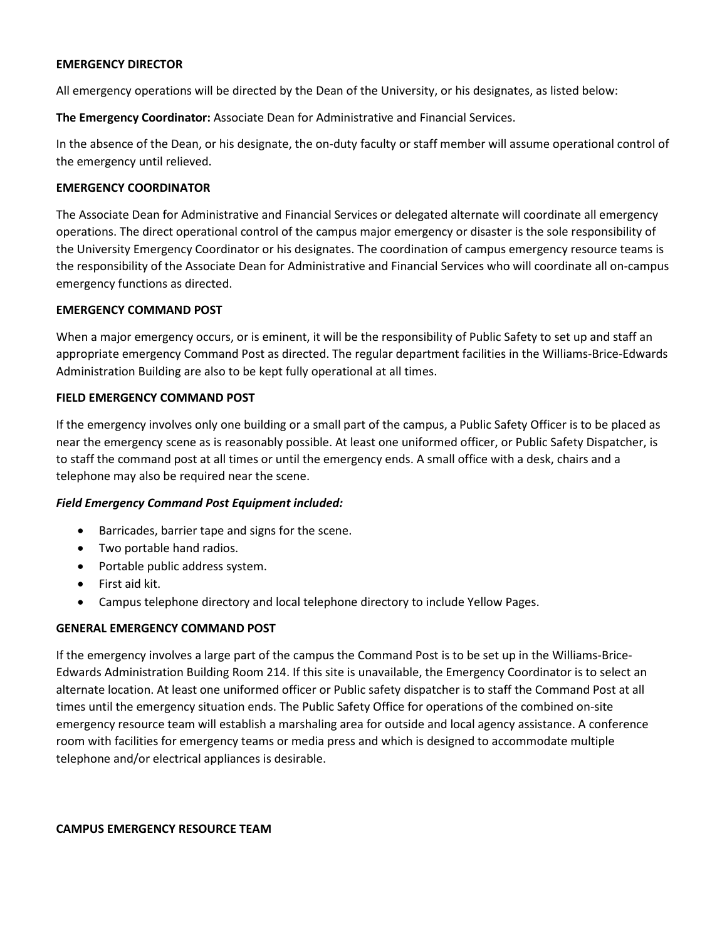#### **EMERGENCY DIRECTOR**

All emergency operations will be directed by the Dean of the University, or his designates, as listed below:

**The Emergency Coordinator:** Associate Dean for Administrative and Financial Services.

In the absence of the Dean, or his designate, the on-duty faculty or staff member will assume operational control of the emergency until relieved.

#### **EMERGENCY COORDINATOR**

The Associate Dean for Administrative and Financial Services or delegated alternate will coordinate all emergency operations. The direct operational control of the campus major emergency or disaster is the sole responsibility of the University Emergency Coordinator or his designates. The coordination of campus emergency resource teams is the responsibility of the Associate Dean for Administrative and Financial Services who will coordinate all on-campus emergency functions as directed.

#### **EMERGENCY COMMAND POST**

When a major emergency occurs, or is eminent, it will be the responsibility of Public Safety to set up and staff an appropriate emergency Command Post as directed. The regular department facilities in the Williams-Brice-Edwards Administration Building are also to be kept fully operational at all times.

#### **FIELD EMERGENCY COMMAND POST**

If the emergency involves only one building or a small part of the campus, a Public Safety Officer is to be placed as near the emergency scene as is reasonably possible. At least one uniformed officer, or Public Safety Dispatcher, is to staff the command post at all times or until the emergency ends. A small office with a desk, chairs and a telephone may also be required near the scene.

#### *Field Emergency Command Post Equipment included:*

- Barricades, barrier tape and signs for the scene.
- Two portable hand radios.
- Portable public address system.
- First aid kit.
- Campus telephone directory and local telephone directory to include Yellow Pages.

#### **GENERAL EMERGENCY COMMAND POST**

If the emergency involves a large part of the campus the Command Post is to be set up in the Williams-Brice-Edwards Administration Building Room 214. If this site is unavailable, the Emergency Coordinator is to select an alternate location. At least one uniformed officer or Public safety dispatcher is to staff the Command Post at all times until the emergency situation ends. The Public Safety Office for operations of the combined on-site emergency resource team will establish a marshaling area for outside and local agency assistance. A conference room with facilities for emergency teams or media press and which is designed to accommodate multiple telephone and/or electrical appliances is desirable.

**CAMPUS EMERGENCY RESOURCE TEAM**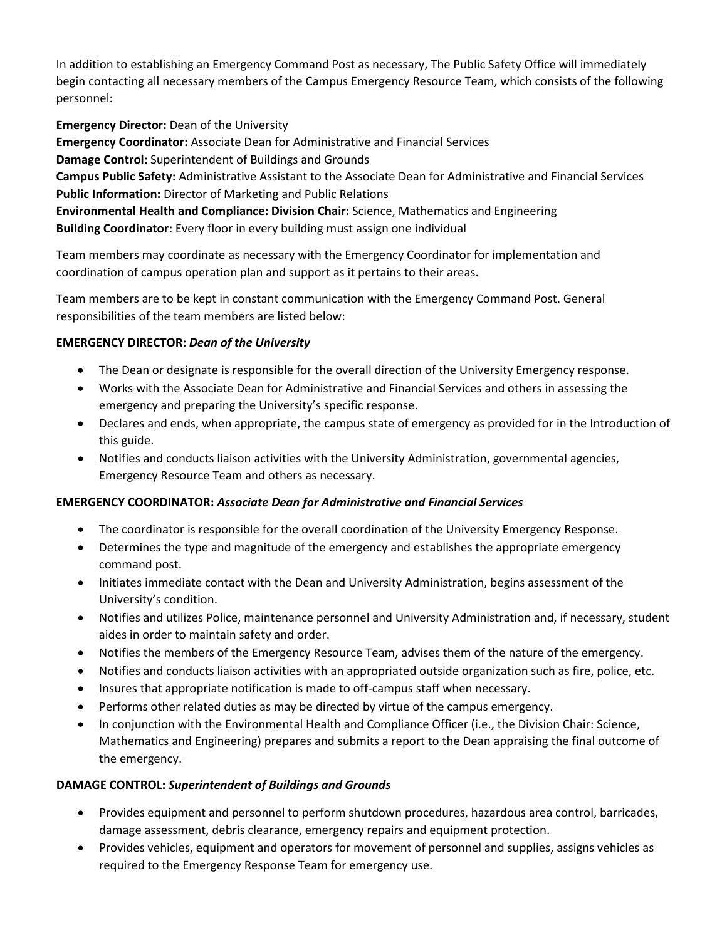In addition to establishing an Emergency Command Post as necessary, The Public Safety Office will immediately begin contacting all necessary members of the Campus Emergency Resource Team, which consists of the following personnel:

**Emergency Director:** Dean of the University **Emergency Coordinator:** Associate Dean for Administrative and Financial Services **Damage Control:** Superintendent of Buildings and Grounds **Campus Public Safety:** Administrative Assistant to the Associate Dean for Administrative and Financial Services **Public Information:** Director of Marketing and Public Relations **Environmental Health and Compliance: Division Chair:** Science, Mathematics and Engineering **Building Coordinator:** Every floor in every building must assign one individual

Team members may coordinate as necessary with the Emergency Coordinator for implementation and coordination of campus operation plan and support as it pertains to their areas.

Team members are to be kept in constant communication with the Emergency Command Post. General responsibilities of the team members are listed below:

# **EMERGENCY DIRECTOR:** *Dean of the University*

- The Dean or designate is responsible for the overall direction of the University Emergency response.
- Works with the Associate Dean for Administrative and Financial Services and others in assessing the emergency and preparing the University's specific response.
- Declares and ends, when appropriate, the campus state of emergency as provided for in the Introduction of this guide.
- Notifies and conducts liaison activities with the University Administration, governmental agencies, Emergency Resource Team and others as necessary.

# **EMERGENCY COORDINATOR:** *Associate Dean for Administrative and Financial Services*

- The coordinator is responsible for the overall coordination of the University Emergency Response.
- Determines the type and magnitude of the emergency and establishes the appropriate emergency command post.
- Initiates immediate contact with the Dean and University Administration, begins assessment of the University's condition.
- Notifies and utilizes Police, maintenance personnel and University Administration and, if necessary, student aides in order to maintain safety and order.
- Notifies the members of the Emergency Resource Team, advises them of the nature of the emergency.
- Notifies and conducts liaison activities with an appropriated outside organization such as fire, police, etc.
- Insures that appropriate notification is made to off-campus staff when necessary.
- Performs other related duties as may be directed by virtue of the campus emergency.
- In conjunction with the Environmental Health and Compliance Officer (i.e., the Division Chair: Science, Mathematics and Engineering) prepares and submits a report to the Dean appraising the final outcome of the emergency.

# **DAMAGE CONTROL:** *Superintendent of Buildings and Grounds*

- Provides equipment and personnel to perform shutdown procedures, hazardous area control, barricades, damage assessment, debris clearance, emergency repairs and equipment protection.
- Provides vehicles, equipment and operators for movement of personnel and supplies, assigns vehicles as required to the Emergency Response Team for emergency use.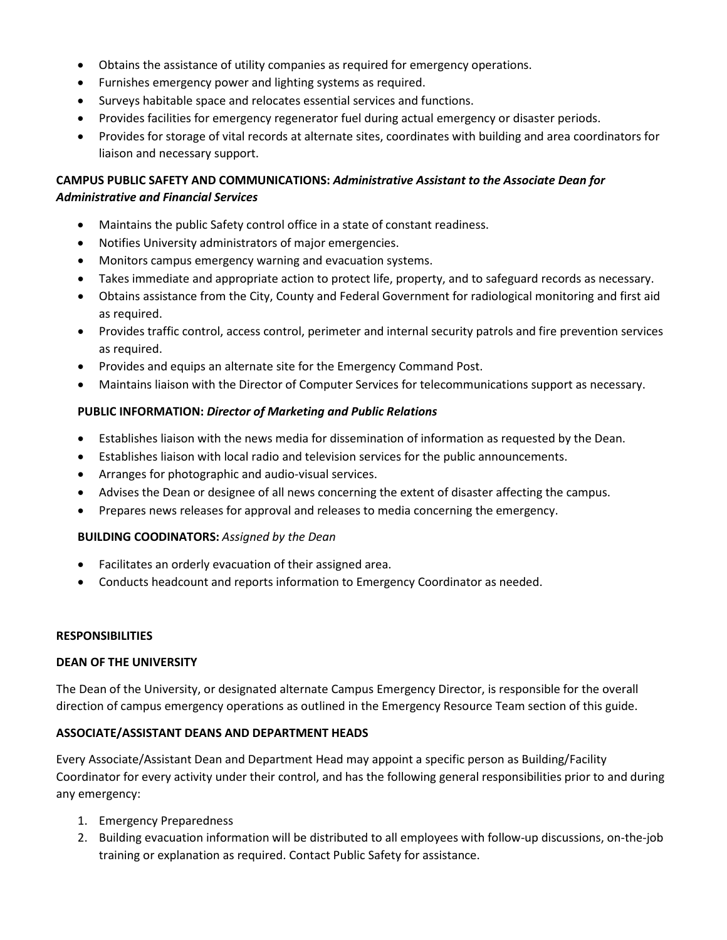- Obtains the assistance of utility companies as required for emergency operations.
- Furnishes emergency power and lighting systems as required.
- Surveys habitable space and relocates essential services and functions.
- Provides facilities for emergency regenerator fuel during actual emergency or disaster periods.
- Provides for storage of vital records at alternate sites, coordinates with building and area coordinators for liaison and necessary support.

# **CAMPUS PUBLIC SAFETY AND COMMUNICATIONS:** *Administrative Assistant to the Associate Dean for Administrative and Financial Services*

- Maintains the public Safety control office in a state of constant readiness.
- Notifies University administrators of major emergencies.
- Monitors campus emergency warning and evacuation systems.
- Takes immediate and appropriate action to protect life, property, and to safeguard records as necessary.
- Obtains assistance from the City, County and Federal Government for radiological monitoring and first aid as required.
- Provides traffic control, access control, perimeter and internal security patrols and fire prevention services as required.
- Provides and equips an alternate site for the Emergency Command Post.
- Maintains liaison with the Director of Computer Services for telecommunications support as necessary.

## **PUBLIC INFORMATION:** *Director of Marketing and Public Relations*

- Establishes liaison with the news media for dissemination of information as requested by the Dean.
- Establishes liaison with local radio and television services for the public announcements.
- Arranges for photographic and audio-visual services.
- Advises the Dean or designee of all news concerning the extent of disaster affecting the campus.
- Prepares news releases for approval and releases to media concerning the emergency.

#### **BUILDING COODINATORS:** *Assigned by the Dean*

- Facilitates an orderly evacuation of their assigned area.
- Conducts headcount and reports information to Emergency Coordinator as needed.

#### **RESPONSIBILITIES**

#### **DEAN OF THE UNIVERSITY**

The Dean of the University, or designated alternate Campus Emergency Director, is responsible for the overall direction of campus emergency operations as outlined in the Emergency Resource Team section of this guide.

# **ASSOCIATE/ASSISTANT DEANS AND DEPARTMENT HEADS**

Every Associate/Assistant Dean and Department Head may appoint a specific person as Building/Facility Coordinator for every activity under their control, and has the following general responsibilities prior to and during any emergency:

- 1. Emergency Preparedness
- 2. Building evacuation information will be distributed to all employees with follow-up discussions, on-the-job training or explanation as required. Contact Public Safety for assistance.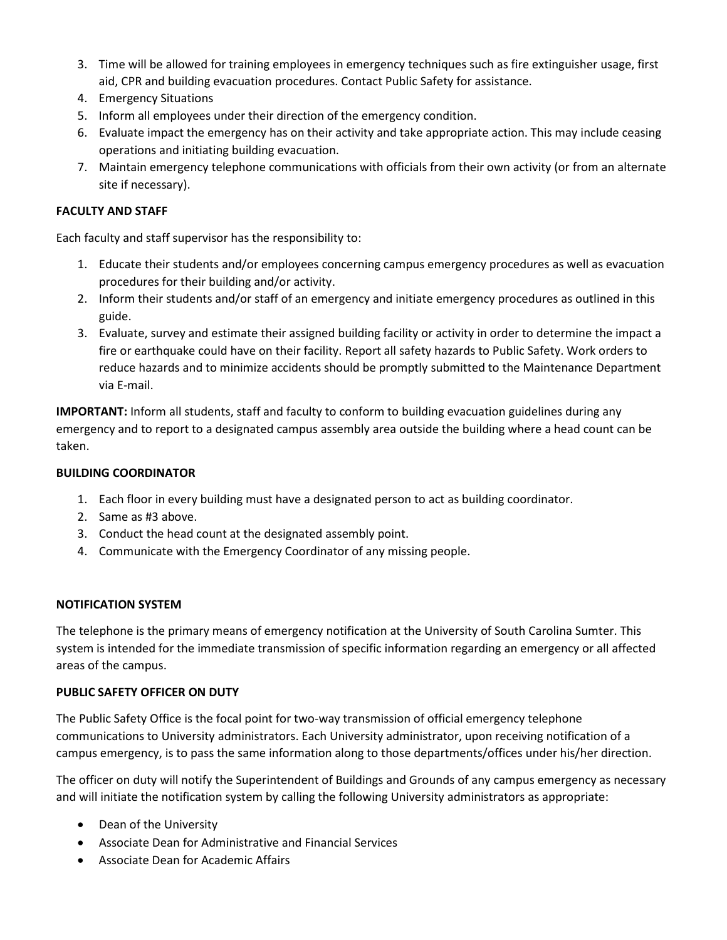- 3. Time will be allowed for training employees in emergency techniques such as fire extinguisher usage, first aid, CPR and building evacuation procedures. Contact Public Safety for assistance.
- 4. Emergency Situations
- 5. Inform all employees under their direction of the emergency condition.
- 6. Evaluate impact the emergency has on their activity and take appropriate action. This may include ceasing operations and initiating building evacuation.
- 7. Maintain emergency telephone communications with officials from their own activity (or from an alternate site if necessary).

## **FACULTY AND STAFF**

Each faculty and staff supervisor has the responsibility to:

- 1. Educate their students and/or employees concerning campus emergency procedures as well as evacuation procedures for their building and/or activity.
- 2. Inform their students and/or staff of an emergency and initiate emergency procedures as outlined in this guide.
- 3. Evaluate, survey and estimate their assigned building facility or activity in order to determine the impact a fire or earthquake could have on their facility. Report all safety hazards to Public Safety. Work orders to reduce hazards and to minimize accidents should be promptly submitted to the Maintenance Department via E-mail.

**IMPORTANT:** Inform all students, staff and faculty to conform to building evacuation guidelines during any emergency and to report to a designated campus assembly area outside the building where a head count can be taken.

#### **BUILDING COORDINATOR**

- 1. Each floor in every building must have a designated person to act as building coordinator.
- 2. Same as #3 above.
- 3. Conduct the head count at the designated assembly point.
- 4. Communicate with the Emergency Coordinator of any missing people.

#### **NOTIFICATION SYSTEM**

The telephone is the primary means of emergency notification at the University of South Carolina Sumter. This system is intended for the immediate transmission of specific information regarding an emergency or all affected areas of the campus.

# **PUBLIC SAFETY OFFICER ON DUTY**

The Public Safety Office is the focal point for two-way transmission of official emergency telephone communications to University administrators. Each University administrator, upon receiving notification of a campus emergency, is to pass the same information along to those departments/offices under his/her direction.

The officer on duty will notify the Superintendent of Buildings and Grounds of any campus emergency as necessary and will initiate the notification system by calling the following University administrators as appropriate:

- Dean of the University
- Associate Dean for Administrative and Financial Services
- Associate Dean for Academic Affairs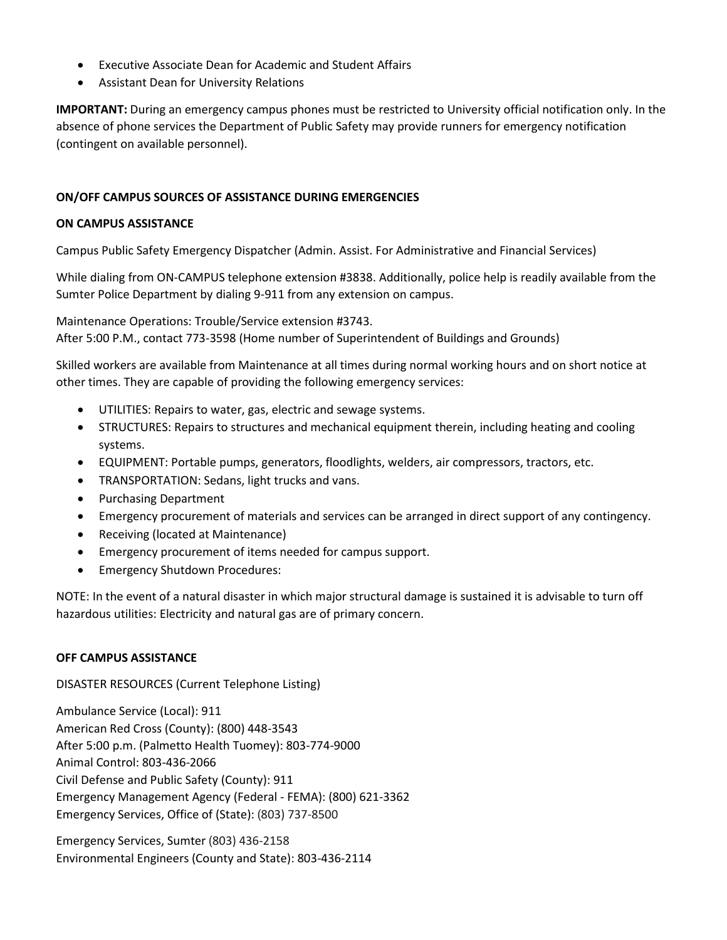- Executive Associate Dean for Academic and Student Affairs
- Assistant Dean for University Relations

**IMPORTANT:** During an emergency campus phones must be restricted to University official notification only. In the absence of phone services the Department of Public Safety may provide runners for emergency notification (contingent on available personnel).

## **ON/OFF CAMPUS SOURCES OF ASSISTANCE DURING EMERGENCIES**

#### **ON CAMPUS ASSISTANCE**

Campus Public Safety Emergency Dispatcher (Admin. Assist. For Administrative and Financial Services)

While dialing from ON-CAMPUS telephone extension #3838. Additionally, police help is readily available from the Sumter Police Department by dialing 9-911 from any extension on campus.

Maintenance Operations: Trouble/Service extension #3743.

After 5:00 P.M., contact 773-3598 (Home number of Superintendent of Buildings and Grounds)

Skilled workers are available from Maintenance at all times during normal working hours and on short notice at other times. They are capable of providing the following emergency services:

- UTILITIES: Repairs to water, gas, electric and sewage systems.
- STRUCTURES: Repairs to structures and mechanical equipment therein, including heating and cooling systems.
- EQUIPMENT: Portable pumps, generators, floodlights, welders, air compressors, tractors, etc.
- TRANSPORTATION: Sedans, light trucks and vans.
- Purchasing Department
- Emergency procurement of materials and services can be arranged in direct support of any contingency.
- Receiving (located at Maintenance)
- Emergency procurement of items needed for campus support.
- Emergency Shutdown Procedures:

NOTE: In the event of a natural disaster in which major structural damage is sustained it is advisable to turn off hazardous utilities: Electricity and natural gas are of primary concern.

#### **OFF CAMPUS ASSISTANCE**

DISASTER RESOURCES (Current Telephone Listing)

Ambulance Service (Local): 911 American Red Cross (County): (800) 448-3543 After 5:00 p.m. (Palmetto Health Tuomey): 803-774-9000 Animal Control: 803-436-2066 Civil Defense and Public Safety (County): 911 Emergency Management Agency (Federal - FEMA): (800) 621-3362 Emergency Services, Office of (State): (803) 737-8500

Emergency Services, Sumter (803) 436-2158 Environmental Engineers (County and State): 803-436-2114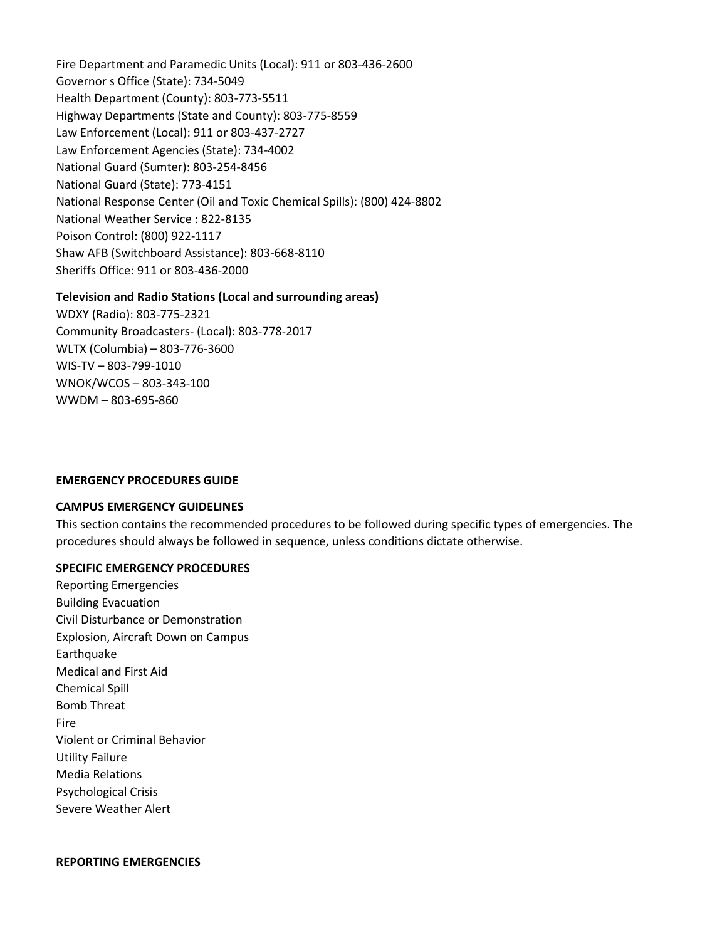Fire Department and Paramedic Units (Local): 911 or 803-436-2600 Governor s Office (State): 734-5049 Health Department (County): 803-773-5511 Highway Departments (State and County): 803-775-8559 Law Enforcement (Local): 911 or 803-437-2727 Law Enforcement Agencies (State): 734-4002 National Guard (Sumter): 803-254-8456 National Guard (State): 773-4151 National Response Center (Oil and Toxic Chemical Spills): (800) 424-8802 National Weather Service : 822-8135 Poison Control: (800) 922-1117 Shaw AFB (Switchboard Assistance): 803-668-8110 Sheriffs Office: 911 or 803-436-2000

#### **Television and Radio Stations (Local and surrounding areas)**

WDXY (Radio): 803-775-2321 Community Broadcasters- (Local): 803-778-2017 WLTX (Columbia) – 803-776-3600 WIS-TV – 803-799-1010 WNOK/WCOS – 803-343-100 WWDM – 803-695-860

#### **EMERGENCY PROCEDURES GUIDE**

#### **CAMPUS EMERGENCY GUIDELINES**

This section contains the recommended procedures to be followed during specific types of emergencies. The procedures should always be followed in sequence, unless conditions dictate otherwise.

#### **SPECIFIC EMERGENCY PROCEDURES**

[Reporting Emergencies](http://www.uscsumter.edu/emergency.shtml#report) [Building Evacuation](http://www.uscsumter.edu/emergency.shtml#evac) [Civil Disturbance or Demonstration](http://www.uscsumter.edu/emergency.shtml#civil) [Explosion, Aircraft Down on Campus](http://www.uscsumter.edu/emergency.shtml#air) [Earthquake](http://www.uscsumter.edu/emergency.shtml#quake) [Medical and First Aid](http://www.uscsumter.edu/emergency.shtml#med) [Chemical Spill](http://www.uscsumter.edu/emergency.shtml#chem) [Bomb Threat](http://www.uscsumter.edu/emergency.shtml#bomb) [Fire](http://www.uscsumter.edu/emergency.shtml#fire) [Violent or Criminal Behavior](http://www.uscsumter.edu/emergency.shtml#crim) [Utility Failure](http://www.uscsumter.edu/emergency.shtml#util) [Media Relations](http://www.uscsumter.edu/emergency.shtml#media) [Psychological Crisis](http://www.uscsumter.edu/emergency.shtml#psyc) [Severe Weather Alert](http://www.uscsumter.edu/emergency.shtml#weather)

#### **REPORTING EMERGENCIES**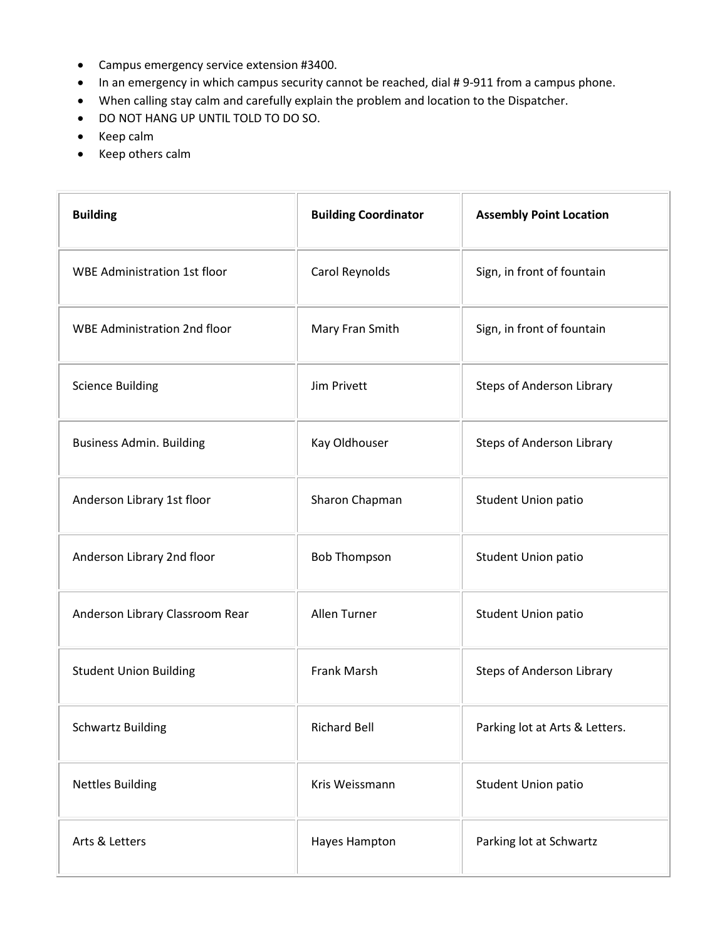- Campus emergency service extension #3400.
- In an emergency in which campus security cannot be reached, dial # 9-911 from a campus phone.
- When calling stay calm and carefully explain the problem and location to the Dispatcher.
- DO NOT HANG UP UNTIL TOLD TO DO SO.
- Keep calm
- Keep others calm

| <b>Building</b>                     | <b>Building Coordinator</b> | <b>Assembly Point Location</b> |
|-------------------------------------|-----------------------------|--------------------------------|
| <b>WBE Administration 1st floor</b> | Carol Reynolds              | Sign, in front of fountain     |
| <b>WBE Administration 2nd floor</b> | Mary Fran Smith             | Sign, in front of fountain     |
| <b>Science Building</b>             | Jim Privett                 | Steps of Anderson Library      |
| <b>Business Admin. Building</b>     | Kay Oldhouser               | Steps of Anderson Library      |
| Anderson Library 1st floor          | Sharon Chapman              | <b>Student Union patio</b>     |
| Anderson Library 2nd floor          | <b>Bob Thompson</b>         | <b>Student Union patio</b>     |
| Anderson Library Classroom Rear     | Allen Turner                | <b>Student Union patio</b>     |
| <b>Student Union Building</b>       | Frank Marsh                 | Steps of Anderson Library      |
| <b>Schwartz Building</b>            | <b>Richard Bell</b>         | Parking lot at Arts & Letters. |
| <b>Nettles Building</b>             | Kris Weissmann              | <b>Student Union patio</b>     |
| Arts & Letters                      | Hayes Hampton               | Parking lot at Schwartz        |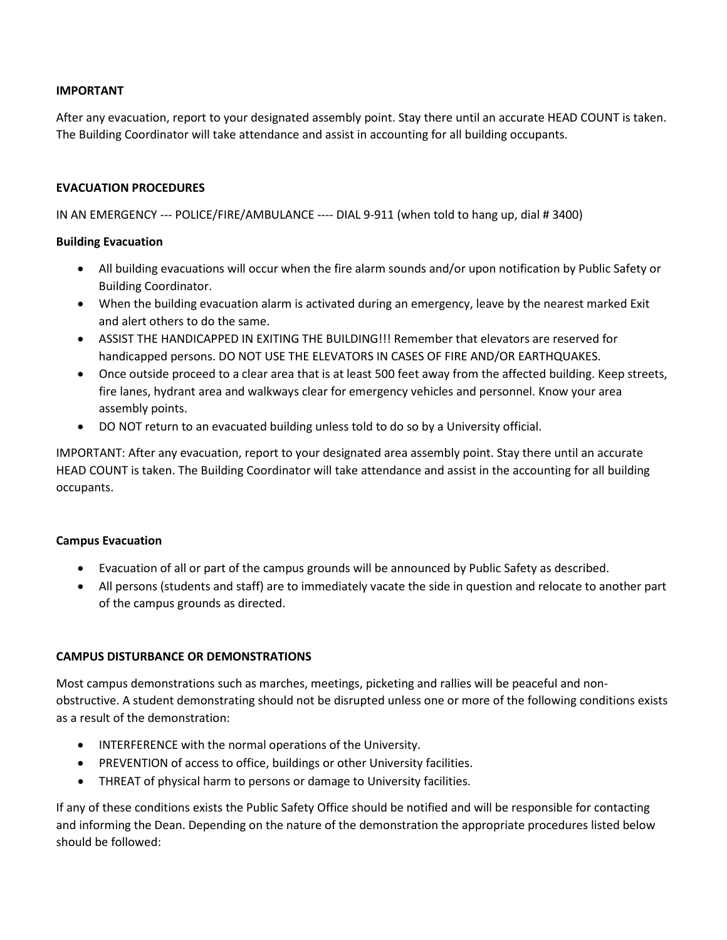### **IMPORTANT**

After any evacuation, report to your designated assembly point. Stay there until an accurate HEAD COUNT is taken. The Building Coordinator will take attendance and assist in accounting for all building occupants.

#### **EVACUATION PROCEDURES**

IN AN EMERGENCY --- POLICE/FIRE/AMBULANCE ---- DIAL 9-911 (when told to hang up, dial # 3400)

#### **Building Evacuation**

- All building evacuations will occur when the fire alarm sounds and/or upon notification by Public Safety or Building Coordinator.
- When the building evacuation alarm is activated during an emergency, leave by the nearest marked Exit and alert others to do the same.
- ASSIST THE HANDICAPPED IN EXITING THE BUILDING!!! Remember that elevators are reserved for handicapped persons. DO NOT USE THE ELEVATORS IN CASES OF FIRE AND/OR EARTHQUAKES.
- Once outside proceed to a clear area that is at least 500 feet away from the affected building. Keep streets, fire lanes, hydrant area and walkways clear for emergency vehicles and personnel. Know your area assembly points.
- DO NOT return to an evacuated building unless told to do so by a University official.

IMPORTANT: After any evacuation, report to your designated area assembly point. Stay there until an accurate HEAD COUNT is taken. The Building Coordinator will take attendance and assist in the accounting for all building occupants.

#### **Campus Evacuation**

- Evacuation of all or part of the campus grounds will be announced by Public Safety as described.
- All persons (students and staff) are to immediately vacate the side in question and relocate to another part of the campus grounds as directed.

#### **CAMPUS DISTURBANCE OR DEMONSTRATIONS**

Most campus demonstrations such as marches, meetings, picketing and rallies will be peaceful and nonobstructive. A student demonstrating should not be disrupted unless one or more of the following conditions exists as a result of the demonstration:

- INTERFERENCE with the normal operations of the University.
- PREVENTION of access to office, buildings or other University facilities.
- THREAT of physical harm to persons or damage to University facilities.

If any of these conditions exists the Public Safety Office should be notified and will be responsible for contacting and informing the Dean. Depending on the nature of the demonstration the appropriate procedures listed below should be followed: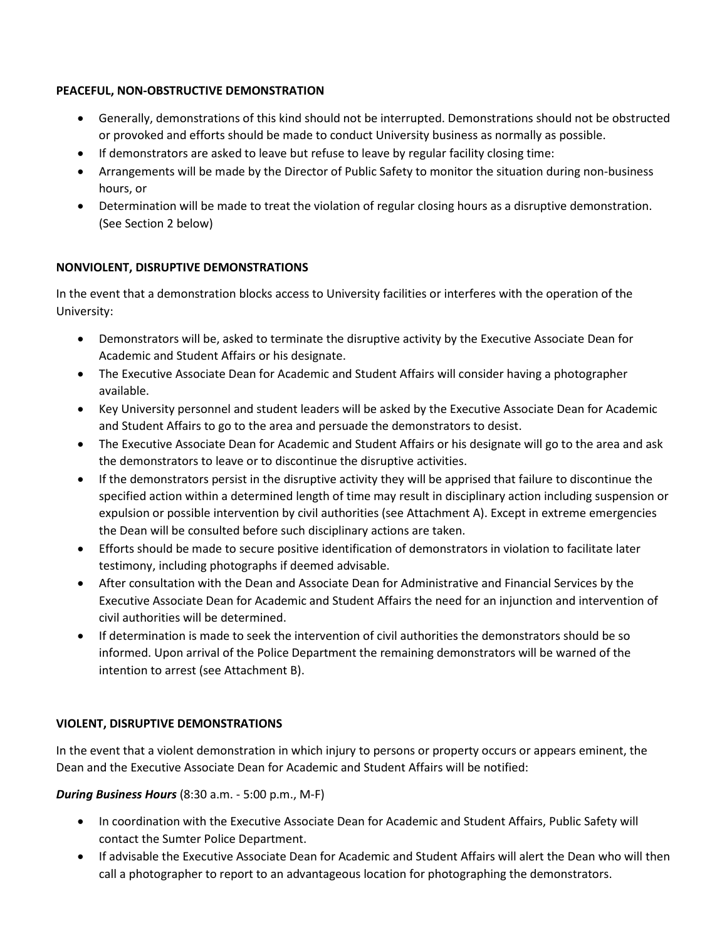# **PEACEFUL, NON-OBSTRUCTIVE DEMONSTRATION**

- Generally, demonstrations of this kind should not be interrupted. Demonstrations should not be obstructed or provoked and efforts should be made to conduct University business as normally as possible.
- If demonstrators are asked to leave but refuse to leave by regular facility closing time:
- Arrangements will be made by the Director of Public Safety to monitor the situation during non-business hours, or
- Determination will be made to treat the violation of regular closing hours as a disruptive demonstration. (See Section 2 below)

# **NONVIOLENT, DISRUPTIVE DEMONSTRATIONS**

In the event that a demonstration blocks access to University facilities or interferes with the operation of the University:

- Demonstrators will be, asked to terminate the disruptive activity by the Executive Associate Dean for Academic and Student Affairs or his designate.
- The Executive Associate Dean for Academic and Student Affairs will consider having a photographer available.
- Key University personnel and student leaders will be asked by the Executive Associate Dean for Academic and Student Affairs to go to the area and persuade the demonstrators to desist.
- The Executive Associate Dean for Academic and Student Affairs or his designate will go to the area and ask the demonstrators to leave or to discontinue the disruptive activities.
- If the demonstrators persist in the disruptive activity they will be apprised that failure to discontinue the specified action within a determined length of time may result in disciplinary action including suspension or expulsion or possible intervention by civil authorities (see Attachment A). Except in extreme emergencies the Dean will be consulted before such disciplinary actions are taken.
- Efforts should be made to secure positive identification of demonstrators in violation to facilitate later testimony, including photographs if deemed advisable.
- After consultation with the Dean and Associate Dean for Administrative and Financial Services by the Executive Associate Dean for Academic and Student Affairs the need for an injunction and intervention of civil authorities will be determined.
- If determination is made to seek the intervention of civil authorities the demonstrators should be so informed. Upon arrival of the Police Department the remaining demonstrators will be warned of the intention to arrest (see Attachment B).

# **VIOLENT, DISRUPTIVE DEMONSTRATIONS**

In the event that a violent demonstration in which injury to persons or property occurs or appears eminent, the Dean and the Executive Associate Dean for Academic and Student Affairs will be notified:

#### *During Business Hours* (8:30 a.m. - 5:00 p.m., M-F)

- In coordination with the Executive Associate Dean for Academic and Student Affairs, Public Safety will contact the Sumter Police Department.
- If advisable the Executive Associate Dean for Academic and Student Affairs will alert the Dean who will then call a photographer to report to an advantageous location for photographing the demonstrators.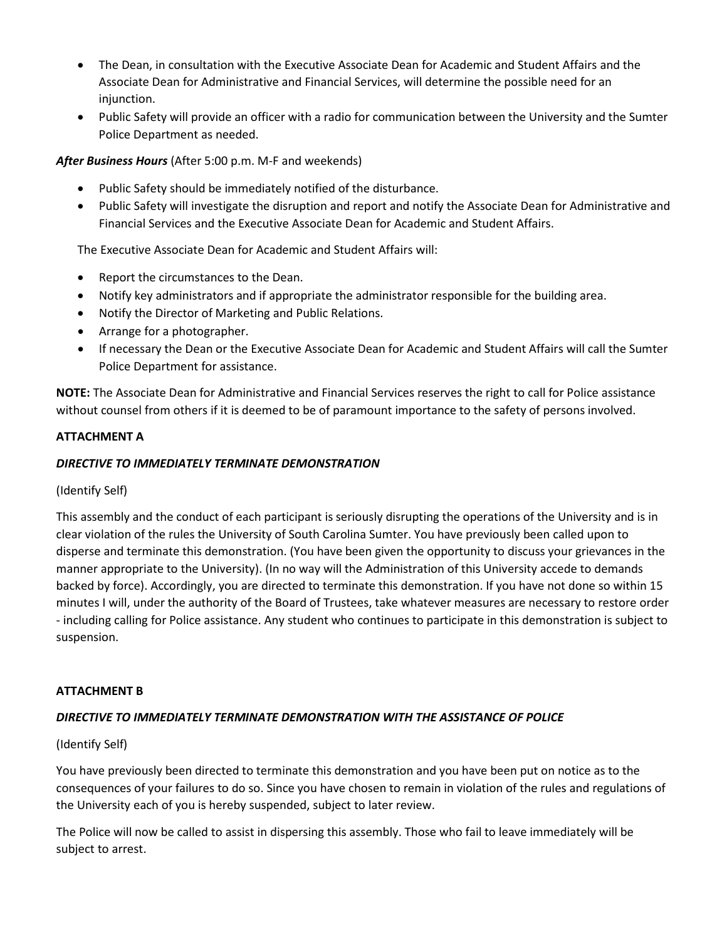- The Dean, in consultation with the Executive Associate Dean for Academic and Student Affairs and the Associate Dean for Administrative and Financial Services, will determine the possible need for an injunction.
- Public Safety will provide an officer with a radio for communication between the University and the Sumter Police Department as needed.

#### *After Business Hours* (After 5:00 p.m. M-F and weekends)

- Public Safety should be immediately notified of the disturbance.
- Public Safety will investigate the disruption and report and notify the Associate Dean for Administrative and Financial Services and the Executive Associate Dean for Academic and Student Affairs.

The Executive Associate Dean for Academic and Student Affairs will:

- Report the circumstances to the Dean.
- Notify key administrators and if appropriate the administrator responsible for the building area.
- Notify the Director of Marketing and Public Relations.
- Arrange for a photographer.
- If necessary the Dean or the Executive Associate Dean for Academic and Student Affairs will call the Sumter Police Department for assistance.

**NOTE:** The Associate Dean for Administrative and Financial Services reserves the right to call for Police assistance without counsel from others if it is deemed to be of paramount importance to the safety of persons involved.

#### **ATTACHMENT A**

#### *DIRECTIVE TO IMMEDIATELY TERMINATE DEMONSTRATION*

(Identify Self)

This assembly and the conduct of each participant is seriously disrupting the operations of the University and is in clear violation of the rules the University of South Carolina Sumter. You have previously been called upon to disperse and terminate this demonstration. (You have been given the opportunity to discuss your grievances in the manner appropriate to the University). (In no way will the Administration of this University accede to demands backed by force). Accordingly, you are directed to terminate this demonstration. If you have not done so within 15 minutes I will, under the authority of the Board of Trustees, take whatever measures are necessary to restore order - including calling for Police assistance. Any student who continues to participate in this demonstration is subject to suspension.

#### **ATTACHMENT B**

#### *DIRECTIVE TO IMMEDIATELY TERMINATE DEMONSTRATION WITH THE ASSISTANCE OF POLICE*

#### (Identify Self)

You have previously been directed to terminate this demonstration and you have been put on notice as to the consequences of your failures to do so. Since you have chosen to remain in violation of the rules and regulations of the University each of you is hereby suspended, subject to later review.

The Police will now be called to assist in dispersing this assembly. Those who fail to leave immediately will be subject to arrest.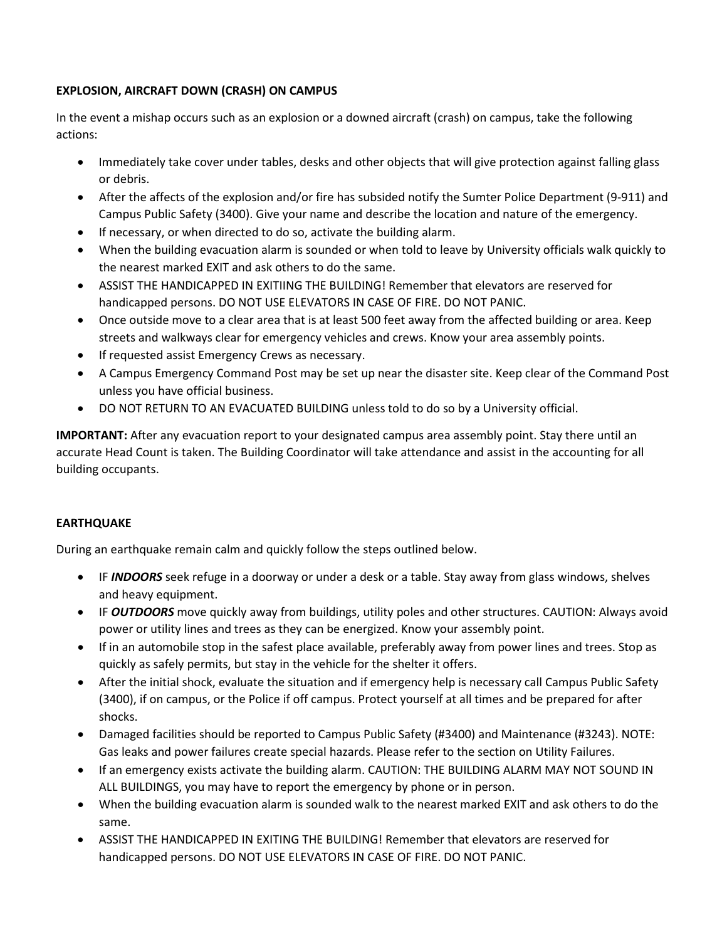# **EXPLOSION, AIRCRAFT DOWN (CRASH) ON CAMPUS**

In the event a mishap occurs such as an explosion or a downed aircraft (crash) on campus, take the following actions:

- Immediately take cover under tables, desks and other objects that will give protection against falling glass or debris.
- After the affects of the explosion and/or fire has subsided notify the Sumter Police Department (9-911) and Campus Public Safety (3400). Give your name and describe the location and nature of the emergency.
- If necessary, or when directed to do so, activate the building alarm.
- When the building evacuation alarm is sounded or when told to leave by University officials walk quickly to the nearest marked EXIT and ask others to do the same.
- ASSIST THE HANDICAPPED IN EXITIING THE BUILDING! Remember that elevators are reserved for handicapped persons. DO NOT USE ELEVATORS IN CASE OF FIRE. DO NOT PANIC.
- Once outside move to a clear area that is at least 500 feet away from the affected building or area. Keep streets and walkways clear for emergency vehicles and crews. Know your area assembly points.
- If requested assist Emergency Crews as necessary.
- A Campus Emergency Command Post may be set up near the disaster site. Keep clear of the Command Post unless you have official business.
- DO NOT RETURN TO AN EVACUATED BUILDING unless told to do so by a University official.

**IMPORTANT:** After any evacuation report to your designated campus area assembly point. Stay there until an accurate Head Count is taken. The Building Coordinator will take attendance and assist in the accounting for all building occupants.

# **EARTHQUAKE**

During an earthquake remain calm and quickly follow the steps outlined below.

- IF *INDOORS* seek refuge in a doorway or under a desk or a table. Stay away from glass windows, shelves and heavy equipment.
- IF *OUTDOORS* move quickly away from buildings, utility poles and other structures. CAUTION: Always avoid power or utility lines and trees as they can be energized. Know your assembly point.
- If in an automobile stop in the safest place available, preferably away from power lines and trees. Stop as quickly as safely permits, but stay in the vehicle for the shelter it offers.
- After the initial shock, evaluate the situation and if emergency help is necessary call Campus Public Safety (3400), if on campus, or the Police if off campus. Protect yourself at all times and be prepared for after shocks.
- Damaged facilities should be reported to Campus Public Safety (#3400) and Maintenance (#3243). NOTE: Gas leaks and power failures create special hazards. Please refer to the section on Utility Failures.
- If an emergency exists activate the building alarm. CAUTION: THE BUILDING ALARM MAY NOT SOUND IN ALL BUILDINGS, you may have to report the emergency by phone or in person.
- When the building evacuation alarm is sounded walk to the nearest marked EXIT and ask others to do the same.
- ASSIST THE HANDICAPPED IN EXITING THE BUILDING! Remember that elevators are reserved for handicapped persons. DO NOT USE ELEVATORS IN CASE OF FIRE. DO NOT PANIC.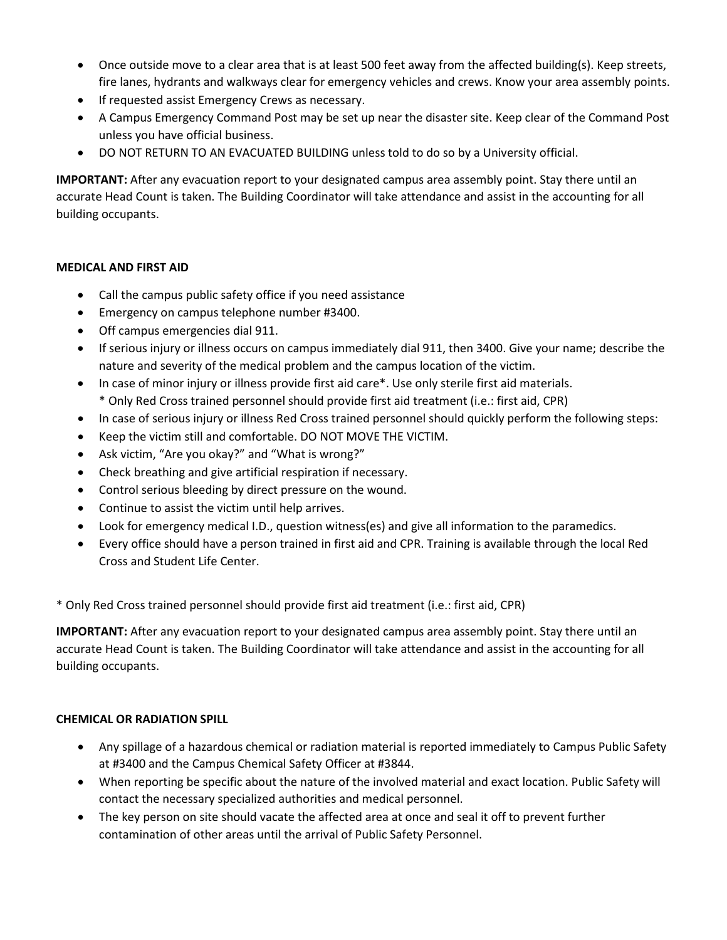- Once outside move to a clear area that is at least 500 feet away from the affected building(s). Keep streets, fire lanes, hydrants and walkways clear for emergency vehicles and crews. Know your area assembly points.
- If requested assist Emergency Crews as necessary.
- A Campus Emergency Command Post may be set up near the disaster site. Keep clear of the Command Post unless you have official business.
- DO NOT RETURN TO AN EVACUATED BUILDING unless told to do so by a University official.

**IMPORTANT:** After any evacuation report to your designated campus area assembly point. Stay there until an accurate Head Count is taken. The Building Coordinator will take attendance and assist in the accounting for all building occupants.

## **MEDICAL AND FIRST AID**

- Call the campus public safety office if you need assistance
- Emergency on campus telephone number #3400.
- Off campus emergencies dial 911.
- If serious injury or illness occurs on campus immediately dial 911, then 3400. Give your name; describe the nature and severity of the medical problem and the campus location of the victim.
- In case of minor injury or illness provide first aid care\*. Use only sterile first aid materials.
	- \* Only Red Cross trained personnel should provide first aid treatment (i.e.: first aid, CPR)
- In case of serious injury or illness Red Cross trained personnel should quickly perform the following steps:
- Keep the victim still and comfortable. DO NOT MOVE THE VICTIM.
- Ask victim, "Are you okay?" and "What is wrong?"
- Check breathing and give artificial respiration if necessary.
- Control serious bleeding by direct pressure on the wound.
- Continue to assist the victim until help arrives.
- Look for emergency medical I.D., question witness(es) and give all information to the paramedics.
- Every office should have a person trained in first aid and CPR. Training is available through the local Red Cross and Student Life Center.

\* Only Red Cross trained personnel should provide first aid treatment (i.e.: first aid, CPR)

**IMPORTANT:** After any evacuation report to your designated campus area assembly point. Stay there until an accurate Head Count is taken. The Building Coordinator will take attendance and assist in the accounting for all building occupants.

# **CHEMICAL OR RADIATION SPILL**

- Any spillage of a hazardous chemical or radiation material is reported immediately to Campus Public Safety at #3400 and the Campus Chemical Safety Officer at #3844.
- When reporting be specific about the nature of the involved material and exact location. Public Safety will contact the necessary specialized authorities and medical personnel.
- The key person on site should vacate the affected area at once and seal it off to prevent further contamination of other areas until the arrival of Public Safety Personnel.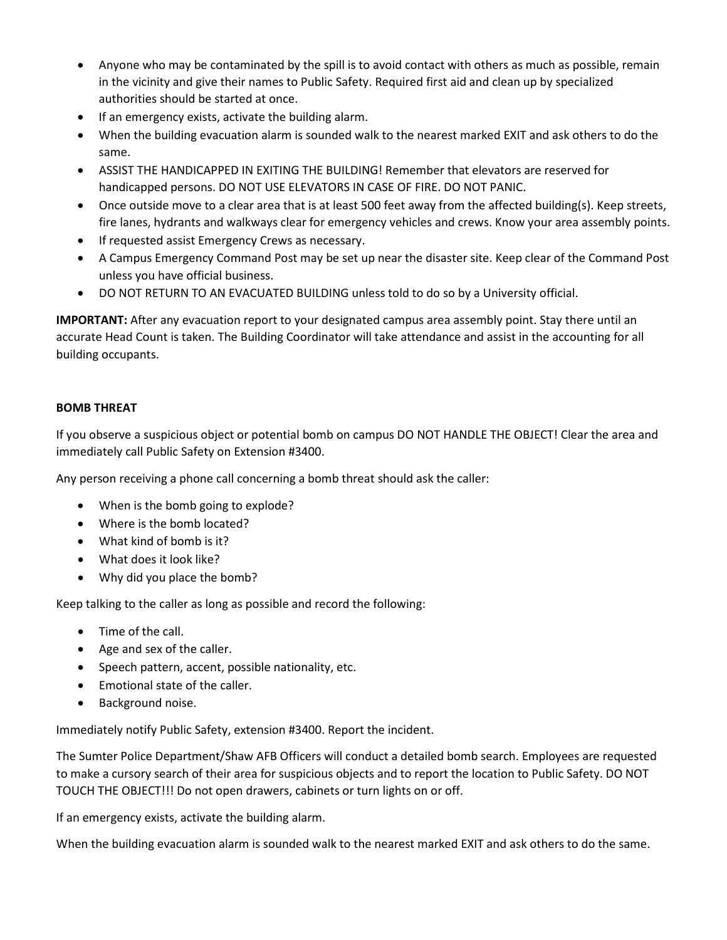- Anyone who may be contaminated by the spill is to avoid contact with others as much as possible, remain in the vicinity and give their names to Public Safety. Required first aid and clean up by specialized authorities should be started at once.
- If an emergency exists, activate the building alarm.
- When the building evacuation alarm is sounded walk to the nearest marked EXIT and ask others to do the same.
- ASSIST THE HANDICAPPED IN EXITING THE BUILDING! Remember that elevators are reserved for handicapped persons. DO NOT USE ELEVATORS IN CASE OF FIRE. DO NOT PANIC.
- Once outside move to a clear area that is at least 500 feet away from the affected building(s). Keep streets, fire lanes, hydrants and walkways clear for emergency vehicles and crews. Know your area assembly points.
- If requested assist Emergency Crews as necessary.
- A Campus Emergency Command Post may be set up near the disaster site. Keep clear of the Command Post unless you have official business.
- DO NOT RETURN TO AN EVACUATED BUILDING unless told to do so by a University official.

**IMPORTANT:** After any evacuation report to your designated campus area assembly point. Stay there until an accurate Head Count is taken. The Building Coordinator will take attendance and assist in the accounting for all building occupants.

# **BOMB THREAT**

If you observe a suspicious object or potential bomb on campus DO NOT HANDLE THE OBJECT! Clear the area and immediately call Public Safety on Extension #3400.

Any person receiving a phone call concerning a bomb threat should ask the caller:

- When is the bomb going to explode?
- Where is the bomb located?
- What kind of bomb is it?
- What does it look like?
- Why did you place the bomb?

Keep talking to the caller as long as possible and record the following:

- Time of the call.
- Age and sex of the caller.
- Speech pattern, accent, possible nationality, etc.
- Emotional state of the caller.
- Background noise.

Immediately notify Public Safety, extension #3400. Report the incident.

The Sumter Police Department/Shaw AFB Officers will conduct a detailed bomb search. Employees are requested to make a cursory search of their area for suspicious objects and to report the location to Public Safety. DO NOT TOUCH THE OBJECT!!! Do not open drawers, cabinets or turn lights on or off.

If an emergency exists, activate the building alarm.

When the building evacuation alarm is sounded walk to the nearest marked EXIT and ask others to do the same.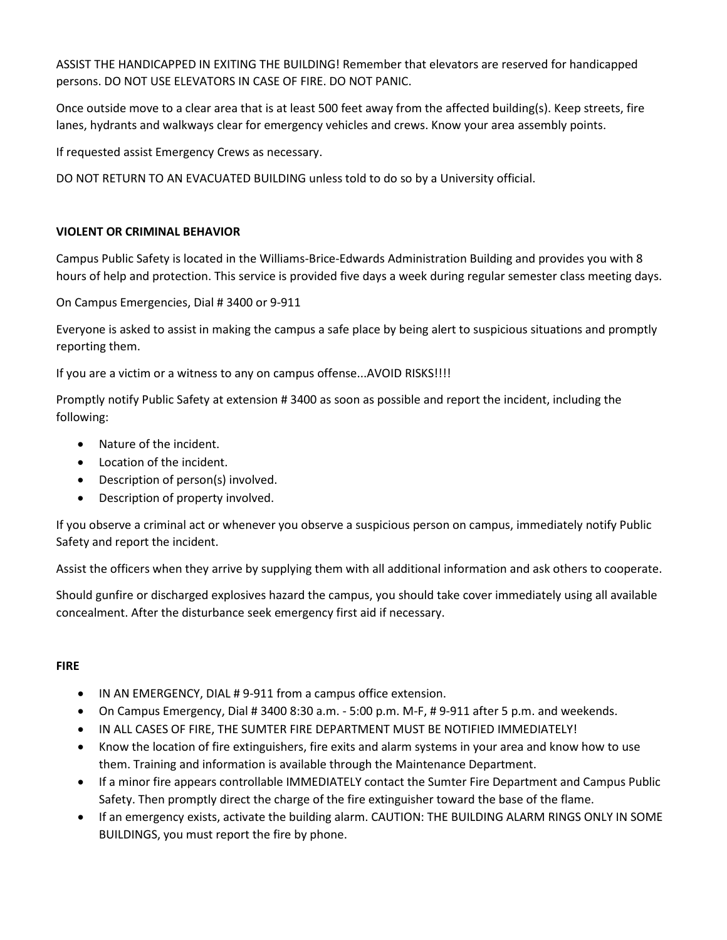ASSIST THE HANDICAPPED IN EXITING THE BUILDING! Remember that elevators are reserved for handicapped persons. DO NOT USE ELEVATORS IN CASE OF FIRE. DO NOT PANIC.

Once outside move to a clear area that is at least 500 feet away from the affected building(s). Keep streets, fire lanes, hydrants and walkways clear for emergency vehicles and crews. Know your area assembly points.

If requested assist Emergency Crews as necessary.

DO NOT RETURN TO AN EVACUATED BUILDING unless told to do so by a University official.

# **VIOLENT OR CRIMINAL BEHAVIOR**

Campus Public Safety is located in the Williams-Brice-Edwards Administration Building and provides you with 8 hours of help and protection. This service is provided five days a week during regular semester class meeting days.

On Campus Emergencies, Dial # 3400 or 9-911

Everyone is asked to assist in making the campus a safe place by being alert to suspicious situations and promptly reporting them.

If you are a victim or a witness to any on campus offense...AVOID RISKS!!!!

Promptly notify Public Safety at extension # 3400 as soon as possible and report the incident, including the following:

- Nature of the incident.
- Location of the incident.
- Description of person(s) involved.
- Description of property involved.

If you observe a criminal act or whenever you observe a suspicious person on campus, immediately notify Public Safety and report the incident.

Assist the officers when they arrive by supplying them with all additional information and ask others to cooperate.

Should gunfire or discharged explosives hazard the campus, you should take cover immediately using all available concealment. After the disturbance seek emergency first aid if necessary.

#### **FIRE**

- IN AN EMERGENCY, DIAL #9-911 from a campus office extension.
- On Campus Emergency, Dial # 3400 8:30 a.m. 5:00 p.m. M-F, # 9-911 after 5 p.m. and weekends.
- IN ALL CASES OF FIRE, THE SUMTER FIRE DEPARTMENT MUST BE NOTIFIED IMMEDIATELY!
- Know the location of fire extinguishers, fire exits and alarm systems in your area and know how to use them. Training and information is available through the Maintenance Department.
- If a minor fire appears controllable IMMEDIATELY contact the Sumter Fire Department and Campus Public Safety. Then promptly direct the charge of the fire extinguisher toward the base of the flame.
- If an emergency exists, activate the building alarm. CAUTION: THE BUILDING ALARM RINGS ONLY IN SOME BUILDINGS, you must report the fire by phone.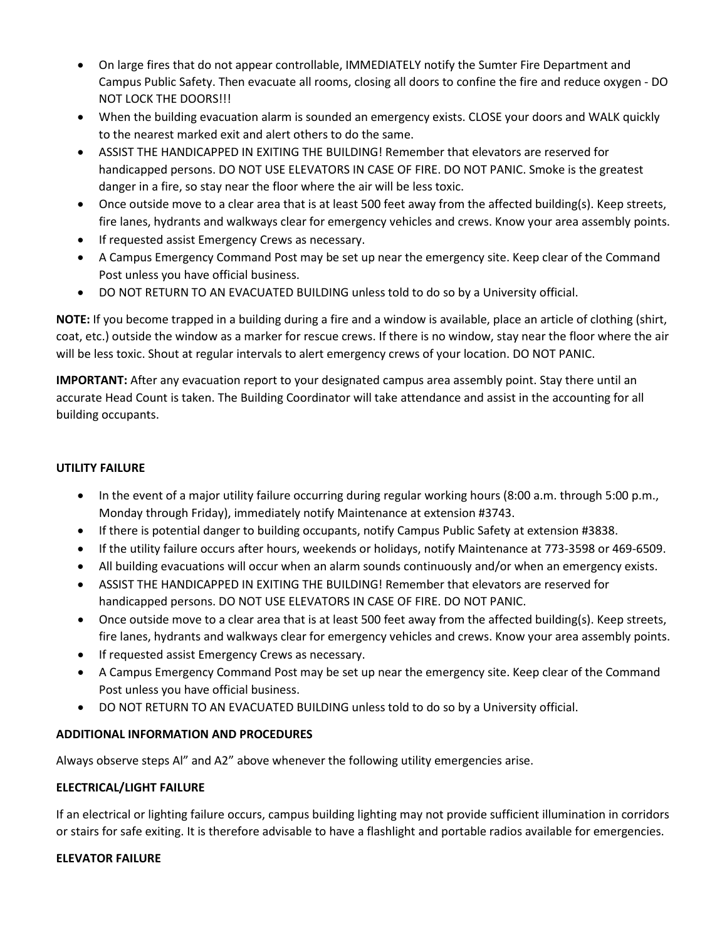- On large fires that do not appear controllable, IMMEDIATELY notify the Sumter Fire Department and Campus Public Safety. Then evacuate all rooms, closing all doors to confine the fire and reduce oxygen - DO NOT LOCK THE DOORS!!!
- When the building evacuation alarm is sounded an emergency exists. CLOSE your doors and WALK quickly to the nearest marked exit and alert others to do the same.
- ASSIST THE HANDICAPPED IN EXITING THE BUILDING! Remember that elevators are reserved for handicapped persons. DO NOT USE ELEVATORS IN CASE OF FIRE. DO NOT PANIC. Smoke is the greatest danger in a fire, so stay near the floor where the air will be less toxic.
- Once outside move to a clear area that is at least 500 feet away from the affected building(s). Keep streets, fire lanes, hydrants and walkways clear for emergency vehicles and crews. Know your area assembly points.
- If requested assist Emergency Crews as necessary.
- A Campus Emergency Command Post may be set up near the emergency site. Keep clear of the Command Post unless you have official business.
- DO NOT RETURN TO AN EVACUATED BUILDING unless told to do so by a University official.

**NOTE:** If you become trapped in a building during a fire and a window is available, place an article of clothing (shirt, coat, etc.) outside the window as a marker for rescue crews. If there is no window, stay near the floor where the air will be less toxic. Shout at regular intervals to alert emergency crews of your location. DO NOT PANIC.

**IMPORTANT:** After any evacuation report to your designated campus area assembly point. Stay there until an accurate Head Count is taken. The Building Coordinator will take attendance and assist in the accounting for all building occupants.

## **UTILITY FAILURE**

- In the event of a major utility failure occurring during regular working hours (8:00 a.m. through 5:00 p.m., Monday through Friday), immediately notify Maintenance at extension #3743.
- If there is potential danger to building occupants, notify Campus Public Safety at extension #3838.
- If the utility failure occurs after hours, weekends or holidays, notify Maintenance at 773-3598 or 469-6509.
- All building evacuations will occur when an alarm sounds continuously and/or when an emergency exists.
- ASSIST THE HANDICAPPED IN EXITING THE BUILDING! Remember that elevators are reserved for handicapped persons. DO NOT USE ELEVATORS IN CASE OF FIRE. DO NOT PANIC.
- Once outside move to a clear area that is at least 500 feet away from the affected building(s). Keep streets, fire lanes, hydrants and walkways clear for emergency vehicles and crews. Know your area assembly points.
- If requested assist Emergency Crews as necessary.
- A Campus Emergency Command Post may be set up near the emergency site. Keep clear of the Command Post unless you have official business.
- DO NOT RETURN TO AN EVACUATED BUILDING unless told to do so by a University official.

# **ADDITIONAL INFORMATION AND PROCEDURES**

Always observe steps Al" and A2" above whenever the following utility emergencies arise.

# **ELECTRICAL/LIGHT FAILURE**

If an electrical or lighting failure occurs, campus building lighting may not provide sufficient illumination in corridors or stairs for safe exiting. It is therefore advisable to have a flashlight and portable radios available for emergencies.

#### **ELEVATOR FAILURE**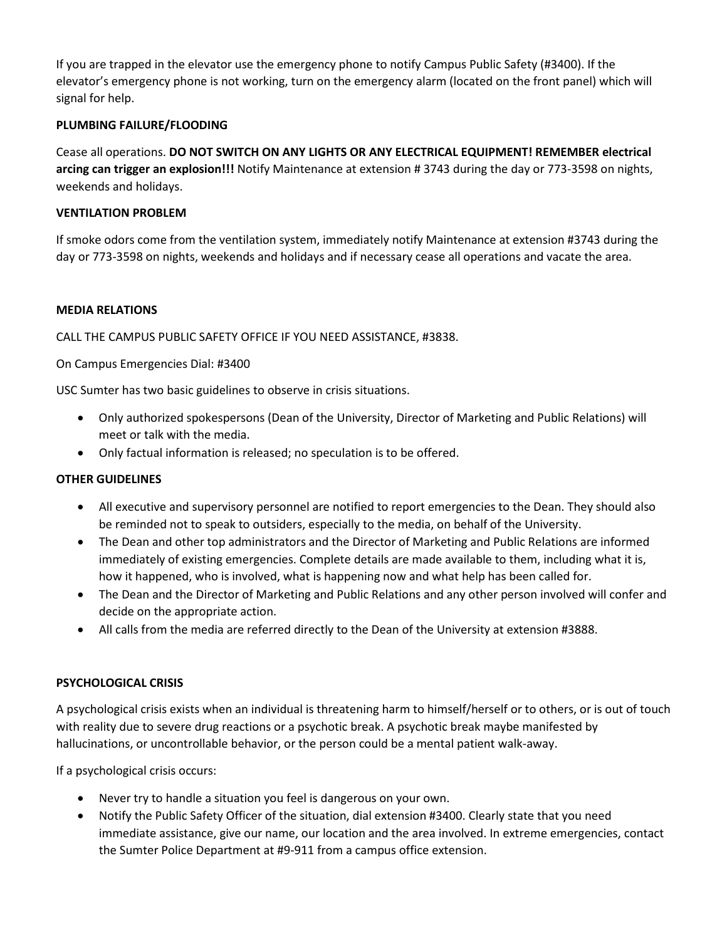If you are trapped in the elevator use the emergency phone to notify Campus Public Safety (#3400). If the elevator's emergency phone is not working, turn on the emergency alarm (located on the front panel) which will signal for help.

#### **PLUMBING FAILURE/FLOODING**

Cease all operations. **DO NOT SWITCH ON ANY LIGHTS OR ANY ELECTRICAL EQUIPMENT! REMEMBER electrical arcing can trigger an explosion!!!** Notify Maintenance at extension # 3743 during the day or 773-3598 on nights, weekends and holidays.

## **VENTILATION PROBLEM**

If smoke odors come from the ventilation system, immediately notify Maintenance at extension #3743 during the day or 773-3598 on nights, weekends and holidays and if necessary cease all operations and vacate the area.

#### **MEDIA RELATIONS**

CALL THE CAMPUS PUBLIC SAFETY OFFICE IF YOU NEED ASSISTANCE, #3838.

## On Campus Emergencies Dial: #3400

USC Sumter has two basic guidelines to observe in crisis situations.

- Only authorized spokespersons (Dean of the University, Director of Marketing and Public Relations) will meet or talk with the media.
- Only factual information is released; no speculation is to be offered.

#### **OTHER GUIDELINES**

- All executive and supervisory personnel are notified to report emergencies to the Dean. They should also be reminded not to speak to outsiders, especially to the media, on behalf of the University.
- The Dean and other top administrators and the Director of Marketing and Public Relations are informed immediately of existing emergencies. Complete details are made available to them, including what it is, how it happened, who is involved, what is happening now and what help has been called for.
- The Dean and the Director of Marketing and Public Relations and any other person involved will confer and decide on the appropriate action.
- All calls from the media are referred directly to the Dean of the University at extension #3888.

# **PSYCHOLOGICAL CRISIS**

A psychological crisis exists when an individual is threatening harm to himself/herself or to others, or is out of touch with reality due to severe drug reactions or a psychotic break. A psychotic break maybe manifested by hallucinations, or uncontrollable behavior, or the person could be a mental patient walk-away.

If a psychological crisis occurs:

- Never try to handle a situation you feel is dangerous on your own.
- Notify the Public Safety Officer of the situation, dial extension #3400. Clearly state that you need immediate assistance, give our name, our location and the area involved. In extreme emergencies, contact the Sumter Police Department at #9-911 from a campus office extension.